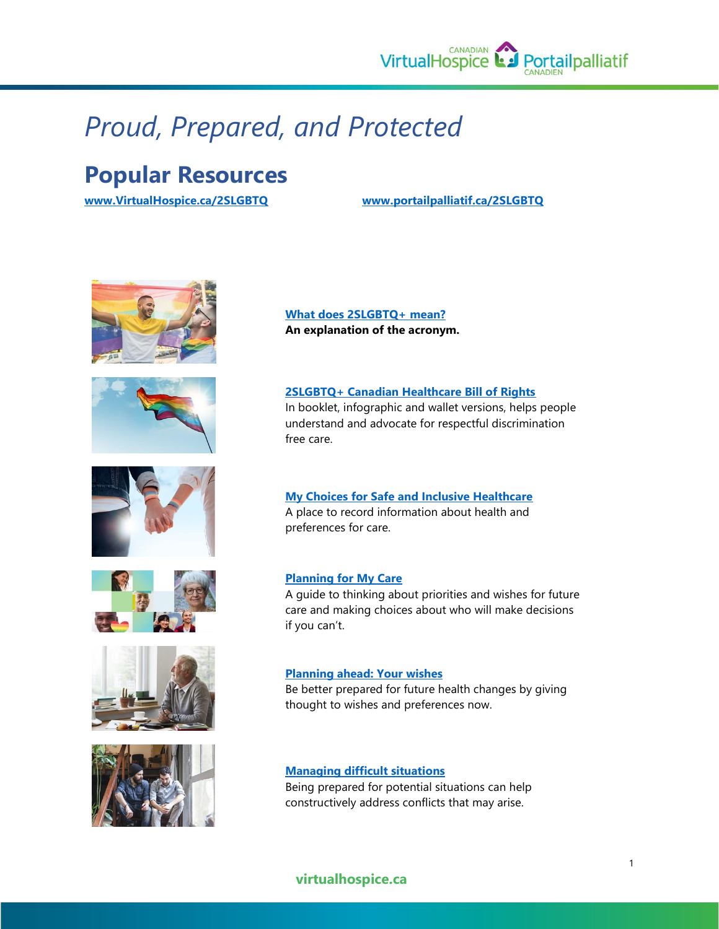

## *Proud, Prepared, and Protected*

## **Popular Resources**

**[www.VirtualHospice.ca/2SLGBTQ](http://www.virtualhospice.ca/2SLGBTQ) [www.portailpalliatif.ca/2SLGBTQ](http://www.portailpalliatif.ca/2SLGBTQ)**













**[What does 2SLGBTQ+ mean?](http://www.virtualhospice.ca/2SLGBTQ/articles/what-does-2slgbtq-mean/) An explanation of the acronym.**

**[2SLGBTQ+ Canadian Healthcare Bill of Rights](http://www.virtualhospice.ca/2SLGBTQ/articles/canadian-healthcare-bill-of-rights/)** In booklet, infographic and wallet versions, helps people understand and advocate for respectful discrimination free care.

#### **[My Choices for Safe and Inclusive Healthcare](http://www.virtualhospice.ca/2SLGBTQ/articles/my-choices-for-safe-and-inclusive-healthcare/)** A place to record information about health and preferences for care.

#### **[Planning for My Care](http://www.virtualhospice.ca/2SLGBTQ/media/igkp01nf/2slgbtq-planning-for-my-care.pdf)**

A guide to thinking about priorities and wishes for future care and making choices about who will make decisions if you can't.

#### **[Planning ahead: Your wishes](http://www.virtualhospice.ca/2SLGBTQ/articles/planning-ahead-your-wishes/)**

Be better prepared for future health changes by giving thought to wishes and preferences now.

#### **[Managing difficult situations](http://www.virtualhospice.ca/2SLGBTQ/articles/managing-difficult-situations/)**

Being prepared for potential situations can help constructively address conflicts that may arise.

#### **virtualhospice.ca**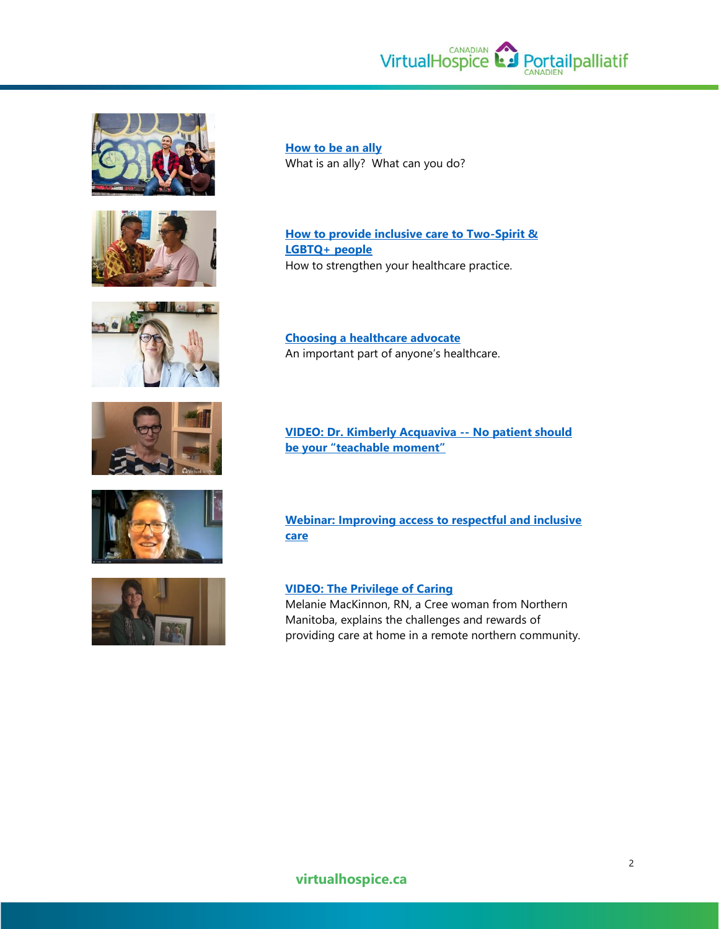VirtualHospice **L**e Portailpalliatif











**[How to be an ally](http://www.virtualhospice.ca/2SLGBTQ/articles/how-to-be-an-ally-to-someone-who-is-two-spirit-and-lbgtq/)** What is an ally? What can you do?

**[How to provide inclusive care to Two-Spirit &](http://www.virtualhospice.ca/2SLGBTQ/articles/how-to-provide-inclusive-care-to-two-spirit-and-lbgtq-people/)  [LGBTQ+ people](http://www.virtualhospice.ca/2SLGBTQ/articles/how-to-provide-inclusive-care-to-two-spirit-and-lbgtq-people/)** How to strengthen your healthcare practice.

**[Choosing a healthcare advocate](http://www.virtualhospice.ca/2SLGBTQ/articles/choosing-a-healthcare-advocate/)** An important part of anyone's healthcare.

**[VIDEO: Dr. Kimberly Acquaviva --](http://www.virtualhospice.ca/2slgbtq#gallery-31) No patient should [be your "teachable moment"](http://www.virtualhospice.ca/2slgbtq#gallery-31)**

**[Webinar: Improving access to respectful and inclusive](https://us02web.zoom.us/rec/play/lNAIx-ii5cGUXj3_3aQYN9ugaXkaJtrp_iUtODlCiIqpaGMvJwbZqodf_YH-tKUhdzrOFfTv1ACxgmX7.rY6ctJxc8mZBY-d_?startTime=1623889824000&_x_zm_rtaid=1X-E84IfQc2IfQU-PPowYw.1639677410940.de9e1defbf68e858dc033b4bbd3a9178&_x_zm_rhtaid=22)  [care](https://us02web.zoom.us/rec/play/lNAIx-ii5cGUXj3_3aQYN9ugaXkaJtrp_iUtODlCiIqpaGMvJwbZqodf_YH-tKUhdzrOFfTv1ACxgmX7.rY6ctJxc8mZBY-d_?startTime=1623889824000&_x_zm_rtaid=1X-E84IfQc2IfQU-PPowYw.1639677410940.de9e1defbf68e858dc033b4bbd3a9178&_x_zm_rhtaid=22)**

**[VIDEO: The Privilege of Caring](http://www.youtube.com/watch?app=desktop&v=lJJ6t_B-5Sc&feature=youtu.be)** Melanie MacKinnon, RN, a Cree woman from Northern Manitoba, explains the challenges and rewards of providing care at home in a remote northern community.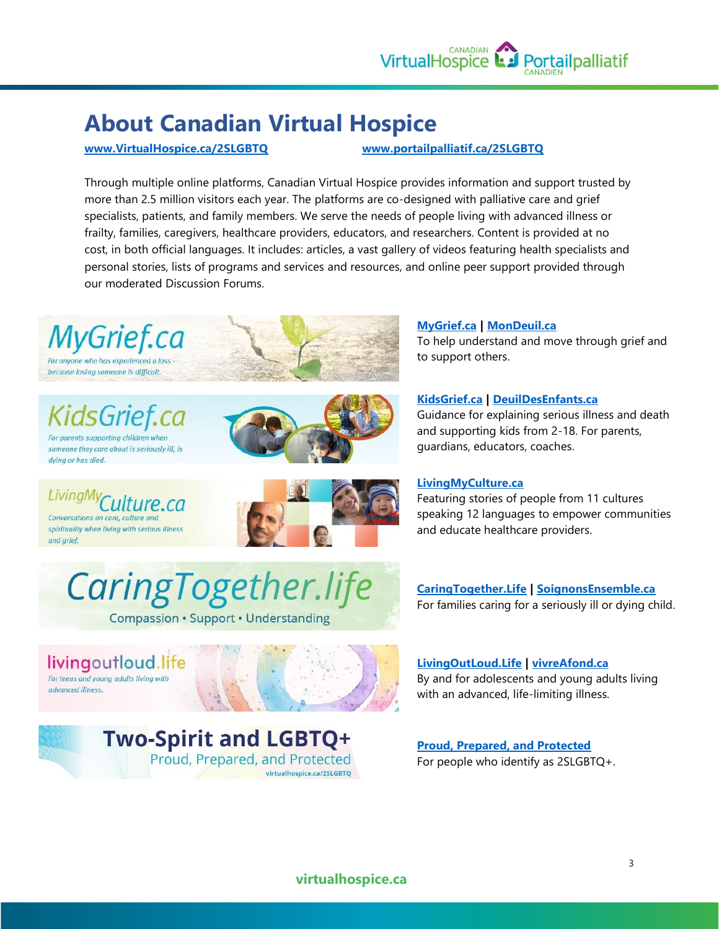

## **About Canadian Virtual Hospice**

#### **[www.VirtualHospice.ca/2SLGBTQ](http://www.virtualhospice.ca/2SLGBTQ) [www.portailpalliatif.ca/2SLGBTQ](http://www.portailpalliatif.ca/2SLGBTQ)**

Through multiple online platforms, Canadian Virtual Hospice provides information and support trusted by more than 2.5 million visitors each year. The platforms are co-designed with palliative care and grief specialists, patients, and family members. We serve the needs of people living with advanced illness or frailty, families, caregivers, healthcare providers, educators, and researchers. Content is provided at no cost, in both official languages. It includes: articles, a vast gallery of videos featuring health specialists and personal stories, lists of programs and services and resources, and online peer support provided through our moderated Discussion Forums.



lsGrief.cc For parents supporting children when

someone they care about is seriously ill, is

Conversations on care, culture and spirituality when living with serious illness

livingoutloud.life For teens and young adults living with

Culture.ca

dving or has died.

LivingMy

advanced illness

and arief.



#### **[MyGrief.ca](https://mygrief.ca/) | [MonDeuil.ca](https://mondeuil.ca/)**

To help understand and move through grief and to support others.

#### **[KidsGrief.ca](https://kidsgrief.ca/) | [DeuilDesEnfants.ca](https://deuildesenfants.ca/)**

Guidance for explaining serious illness and death and supporting kids from 2-18. For parents, guardians, educators, coaches.

#### **[LivingMyCulture.ca](https://livingmyculture.ca/culture/)**

Featuring stories of people from 11 cultures speaking 12 languages to empower communities and educate healthcare providers.

**[CaringTogether.Life](https://caringtogether.life/en/) | [SoignonsEnsemble.ca](https://soignonsensemble.ca/fr/)** For families caring for a seriously ill or dying child.

**[LivingOutLoud.Life](https://livingoutloud.life/) | [vivreAfond.ca](https://vivreafond.ca/)** By and for adolescents and young adults living with an advanced, life-limiting illness.

**[Proud, Prepared, and Protected](https://www.virtualhospice.ca/2slgbtq)** For people who identify as 2SLGBTQ+.

**Two-Spirit and LGBTQ+** 

CaringTogether.life

**Compassion · Support · Understanding** 

Proud, Prepared, and Protected virtualhospice.ca/2SLGBTQ